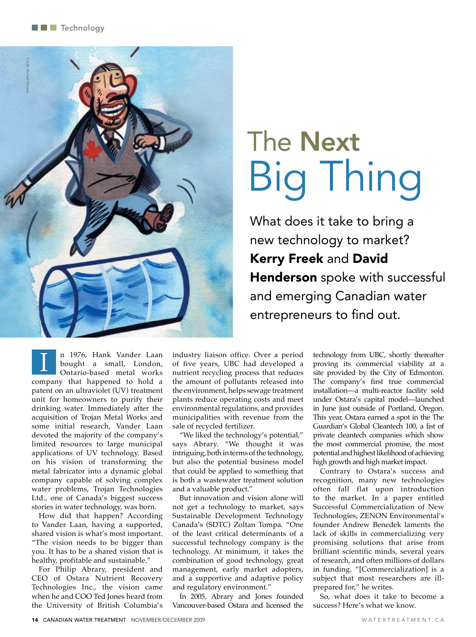

# The Next Big Thing

What does it take to bring a new technology to market? Kerry Freek and David Henderson spoke with successful and emerging Canadian water entrepreneurs to find out.

n 1976, Hank Vander Laan bought a small, London, Ontario-based metal works company that happened to hold a patent on an ultraviolet (UV) treatment unit for homeowners to purify their drinking water. Immediately after the acquisition of Trojan Metal Works and some initial research, Vander Laan devoted the majority of the company's limited resources to large municipal applications of UV technology. Based on his vision of transforming the metal fabricator into a dynamic global company capable of solving complex water problems, Trojan Technologies Ltd., one of Canada's biggest success stories in water technology, was born.  $\overline{1}$ 

How did that happen? According to Vander Laan, having a supported, shared vision is what's most important. "The vision needs to be bigger than you. It has to be a shared vision that is healthy, profitable and sustainable."

For Philip Abrary, president and CEO of Ostara Nutrient Recovery Technologies Inc., the vision came when he and COO Ted Jones heard from the University of British Columbia's

industry liaison office. Over a period of five years, UBC had developed a nutrient recycling process that reduces the amount of pollutants released into the environment, helps sewage treatment plants reduce operating costs and meet environmental regulations, and provides municipalities with revenue from the sale of recycled fertilizer.

"We liked the technology's potential," says Abrary. "We thought it was intriguing, both in terms of the technology, but also the potential business model that could be applied to something that is both a wastewater treatment solution and a valuable product."

But innovation and vision alone will not get a technology to market, says Sustainable Development Technology Canada's (SDTC) Zoltan Tompa. "One of the least critical determinants of a successful technology company is the technology. At minimum, it takes the combination of good technology, great management, early market adopters, and a supportive and adaptive policy and regulatory environment."

In 2005, Abrary and Jones founded Vancouver-based Ostara and licensed the technology from UBC, shortly thereafter proving its commercial viability at a site provided by the City of Edmonton. The company's first true commercial installation—a multi-reactor facility sold under Ostara's capital model—launched in June just outside of Portland, Oregon. This year, Ostara earned a spot in the The Guardian's Global Cleantech 100, a list of private cleantech companies which show the most commercial promise, the most potential and highest likelihood of achieving high growth and high market impact.

Contrary to Ostara's success and recognition, many new technologies often fall flat upon introduction to the market. In a paper entitled Successful Commercialization of New Technologies, ZENON Environmental's founder Andrew Benedek laments the lack of skills in commercializing very promising solutions that arise from brilliant scientific minds, several years of research, and often millions of dollars in funding. "[Commercialization] is a subject that most researchers are illprepared for," he writes.

So, what does it take to become a success? Here's what we know.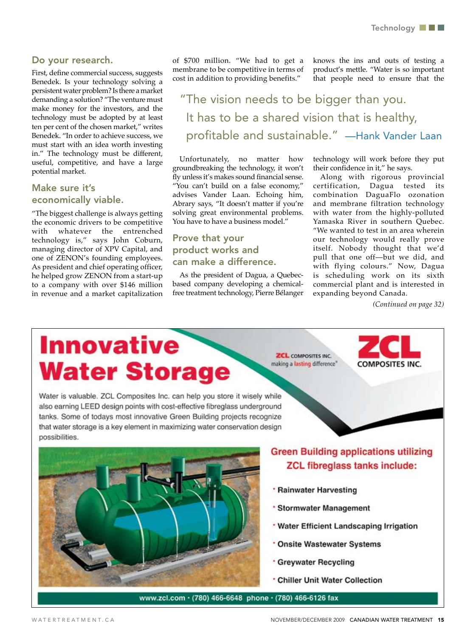#### Do your research.

First, define commercial success, suggests Benedek. Is your technology solving a persistent water problem? Is there a market demanding a solution? "The venture must make money for the investors, and the technology must be adopted by at least ten per cent of the chosen market," writes Benedek. "In order to achieve success, we must start with an idea worth investing in." The technology must be different, useful, competitive, and have a large potential market.

# Make sure it's economically viable.

"The biggest challenge is always getting the economic drivers to be competitive with whatever the entrenched technology is," says John Coburn, managing director of XPV Capital, and one of ZENON's founding employees. As president and chief operating officer, he helped grow ZENON from a start-up to a company with over \$146 million in revenue and a market capitalization

of \$700 million. "We had to get a membrane to be competitive in terms of cost in addition to providing benefits."

knows the ins and outs of testing a product's mettle. "Water is so important that people need to ensure that the

"The vision needs to be bigger than you. It has to be a shared vision that is healthy, profitable and sustainable." —Hank Vander Laan

Unfortunately, no matter how groundbreaking the technology, it won't fly unless it's makes sound financial sense. "You can't build on a false economy," advises Vander Laan. Echoing him, Abrary says, "It doesn't matter if you're solving great environmental problems. You have to have a business model."

# Prove that your product works and can make a difference.

As the president of Dagua, a Quebecbased company developing a chemicalfree treatment technology, Pierre Bélanger technology will work before they put their confidence in it," he says.

Along with rigorous provincial certification, Dagua tested its combination DaguaFlo ozonation and membrane filtration technology with water from the highly-polluted Yamaska River in southern Quebec. "We wanted to test in an area wherein our technology would really prove itself. Nobody thought that we'd pull that one off—but we did, and with flying colours." Now, Dagua is scheduling work on its sixth commercial plant and is interested in expanding beyond Canada.

*(Continued on page 32)*

# **Innovative Water Storage**

Water is valuable. ZCL Composites Inc. can help you store it wisely while also earning LEED design points with cost-effective fibreglass underground tanks. Some of todays most innovative Green Building projects recognize that water storage is a key element in maximizing water conservation design possibilities.

**ZCL** COMPOSITES INC. making a lasting difference<sup>®</sup>





# **Green Building applications utilizing ZCL fibreglass tanks include:**

- \* Rainwater Harvesting
- \* Stormwater Management
- **Water Efficient Landscaping Irrigation**
- \* Onsite Wastewater Systems
- **Creywater Recycling**
- **Chiller Unit Water Collection**

www.zcl.com · (780) 466-6648 phone · (780) 466-6126 fax